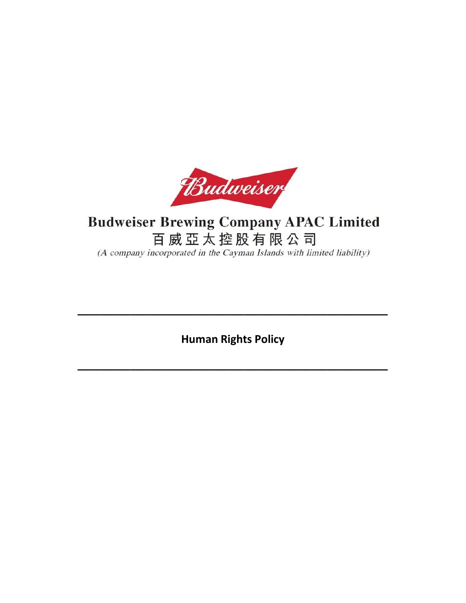

# **Budweiser Brewing Company APAC Limited** 百威亞太控股有限公司 (A company incorporated in the Cayman Islands with limited liability)

**Human Rights Policy**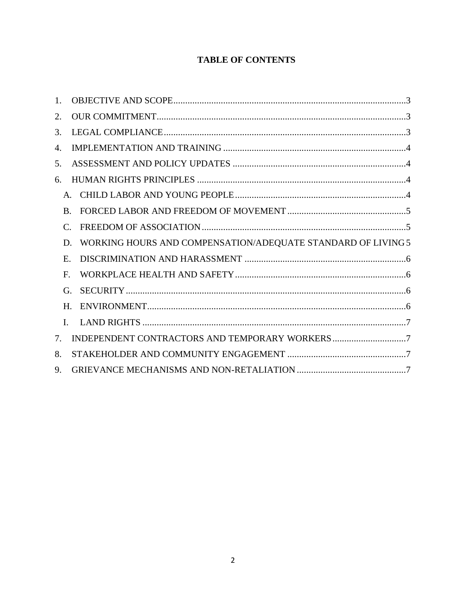## **TABLE OF CONTENTS**

| $1_{-}$ |              |                                                              |  |
|---------|--------------|--------------------------------------------------------------|--|
| 2.      |              |                                                              |  |
| 3.      |              |                                                              |  |
| 4.      |              |                                                              |  |
| 5.      |              |                                                              |  |
| 6.      |              |                                                              |  |
|         |              |                                                              |  |
|         | <b>B.</b>    |                                                              |  |
|         | C.           |                                                              |  |
|         | D.           | WORKING HOURS AND COMPENSATION/ADEQUATE STANDARD OF LIVING 5 |  |
|         | $E_{\rm c}$  |                                                              |  |
|         | F.           |                                                              |  |
|         | G.           |                                                              |  |
|         | H.           |                                                              |  |
|         | $\mathbf{L}$ |                                                              |  |
| 7.      |              |                                                              |  |
| 8.      |              |                                                              |  |
| 9.      |              |                                                              |  |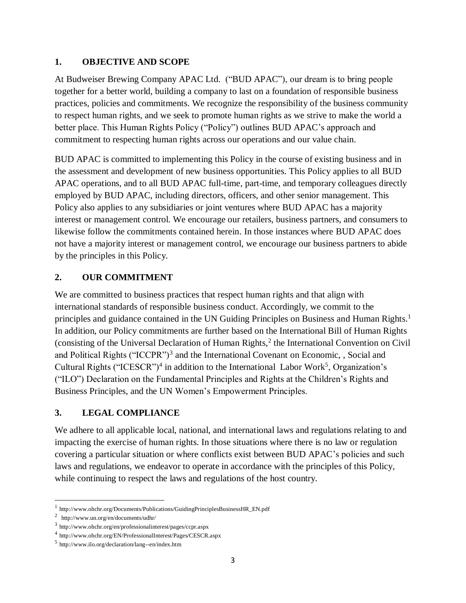#### <span id="page-2-0"></span>**1. OBJECTIVE AND SCOPE**

At Budweiser Brewing Company APAC Ltd. ("BUD APAC"), our dream is to bring people together for a better world, building a company to last on a foundation of responsible business practices, policies and commitments. We recognize the responsibility of the business community to respect human rights, and we seek to promote human rights as we strive to make the world a better place. This Human Rights Policy ("Policy") outlines BUD APAC's approach and commitment to respecting human rights across our operations and our value chain.

BUD APAC is committed to implementing this Policy in the course of existing business and in the assessment and development of new business opportunities. This Policy applies to all BUD APAC operations, and to all BUD APAC full-time, part-time, and temporary colleagues directly employed by BUD APAC, including directors, officers, and other senior management. This Policy also applies to any subsidiaries or joint ventures where BUD APAC has a majority interest or management control. We encourage our retailers, business partners, and consumers to likewise follow the commitments contained herein. In those instances where BUD APAC does not have a majority interest or management control, we encourage our business partners to abide by the principles in this Policy.

#### <span id="page-2-1"></span>**2. OUR COMMITMENT**

We are committed to business practices that respect human rights and that align with international standards of responsible business conduct. Accordingly, we commit to the principles and guidance contained in the UN Guiding Principles on Business and Human Rights.<sup>1</sup> In addition, our Policy commitments are further based on the International Bill of Human Rights (consisting of the Universal Declaration of Human Rights,<sup>2</sup> the International Convention on Civil and Political Rights ("ICCPR")<sup>3</sup> and the International Covenant on Economic, , Social and Cultural Rights ("ICESCR")<sup>4</sup> in addition to the International Labor Work<sup>5</sup>, Organization's ("ILO") Declaration on the Fundamental Principles and Rights at the Children's Rights and Business Principles, and the UN Women's Empowerment Principles.

#### <span id="page-2-2"></span>**3. LEGAL COMPLIANCE**

We adhere to all applicable local, national, and international laws and regulations relating to and impacting the exercise of human rights. In those situations where there is no law or regulation covering a particular situation or where conflicts exist between BUD APAC's policies and such laws and regulations, we endeavor to operate in accordance with the principles of this Policy, while continuing to respect the laws and regulations of the host country.

 $\overline{a}$ 

<sup>&</sup>lt;sup>1</sup> http://www.ohchr.org/Documents/Publications/GuidingPrinciplesBusinessHR\_EN.pdf

<sup>2</sup> http://www.un.org/en/documents/udhr/

<sup>3</sup> http://www.ohchr.org/en/professionalinterest/pages/ccpr.aspx

<sup>4</sup> http://www.ohchr.org/EN/ProfessionalInterest/Pages/CESCR.aspx

<sup>5</sup> http://www.ilo.org/declaration/lang--en/index.htm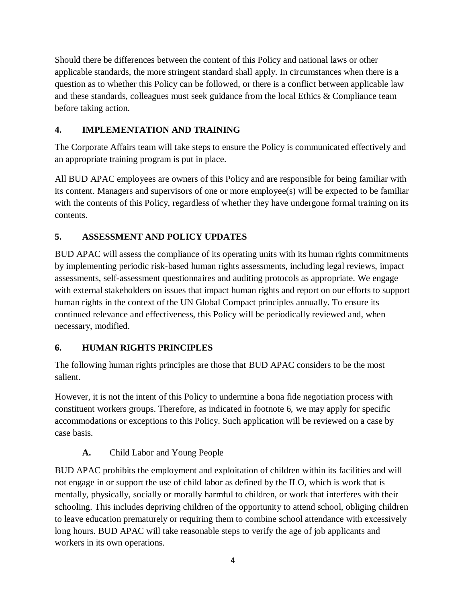Should there be differences between the content of this Policy and national laws or other applicable standards, the more stringent standard shall apply. In circumstances when there is a question as to whether this Policy can be followed, or there is a conflict between applicable law and these standards, colleagues must seek guidance from the local Ethics & Compliance team before taking action.

## <span id="page-3-0"></span>**4. IMPLEMENTATION AND TRAINING**

The Corporate Affairs team will take steps to ensure the Policy is communicated effectively and an appropriate training program is put in place.

All BUD APAC employees are owners of this Policy and are responsible for being familiar with its content. Managers and supervisors of one or more employee(s) will be expected to be familiar with the contents of this Policy, regardless of whether they have undergone formal training on its contents.

# <span id="page-3-1"></span>**5. ASSESSMENT AND POLICY UPDATES**

BUD APAC will assess the compliance of its operating units with its human rights commitments by implementing periodic risk-based human rights assessments, including legal reviews, impact assessments, self-assessment questionnaires and auditing protocols as appropriate. We engage with external stakeholders on issues that impact human rights and report on our efforts to support human rights in the context of the UN Global Compact principles annually. To ensure its continued relevance and effectiveness, this Policy will be periodically reviewed and, when necessary, modified.

# <span id="page-3-2"></span>**6. HUMAN RIGHTS PRINCIPLES**

The following human rights principles are those that BUD APAC considers to be the most salient.

However, it is not the intent of this Policy to undermine a bona fide negotiation process with constituent workers groups. Therefore, as indicated in footnote 6, we may apply for specific accommodations or exceptions to this Policy. Such application will be reviewed on a case by case basis.

**A.** Child Labor and Young People

<span id="page-3-3"></span>BUD APAC prohibits the employment and exploitation of children within its facilities and will not engage in or support the use of child labor as defined by the ILO, which is work that is mentally, physically, socially or morally harmful to children, or work that interferes with their schooling. This includes depriving children of the opportunity to attend school, obliging children to leave education prematurely or requiring them to combine school attendance with excessively long hours. BUD APAC will take reasonable steps to verify the age of job applicants and workers in its own operations.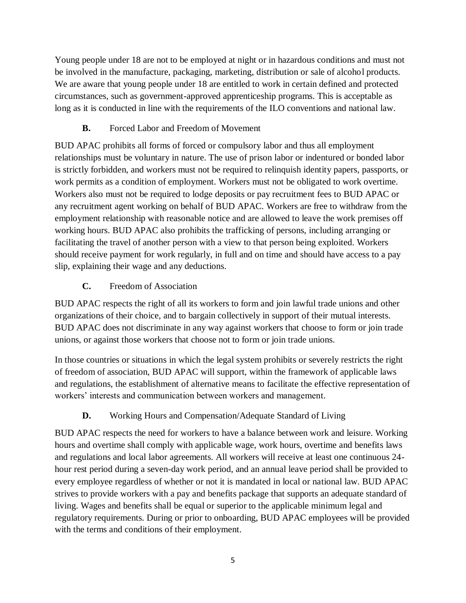Young people under 18 are not to be employed at night or in hazardous conditions and must not be involved in the manufacture, packaging, marketing, distribution or sale of alcohol products. We are aware that young people under 18 are entitled to work in certain defined and protected circumstances, such as government-approved apprenticeship programs. This is acceptable as long as it is conducted in line with the requirements of the ILO conventions and national law.

## **B.** Forced Labor and Freedom of Movement

<span id="page-4-0"></span>BUD APAC prohibits all forms of forced or compulsory labor and thus all employment relationships must be voluntary in nature. The use of prison labor or indentured or bonded labor is strictly forbidden, and workers must not be required to relinquish identity papers, passports, or work permits as a condition of employment. Workers must not be obligated to work overtime. Workers also must not be required to lodge deposits or pay recruitment fees to BUD APAC or any recruitment agent working on behalf of BUD APAC. Workers are free to withdraw from the employment relationship with reasonable notice and are allowed to leave the work premises off working hours. BUD APAC also prohibits the trafficking of persons, including arranging or facilitating the travel of another person with a view to that person being exploited. Workers should receive payment for work regularly, in full and on time and should have access to a pay slip, explaining their wage and any deductions.

## **C.** Freedom of Association

<span id="page-4-1"></span>BUD APAC respects the right of all its workers to form and join lawful trade unions and other organizations of their choice, and to bargain collectively in support of their mutual interests. BUD APAC does not discriminate in any way against workers that choose to form or join trade unions, or against those workers that choose not to form or join trade unions.

In those countries or situations in which the legal system prohibits or severely restricts the right of freedom of association, BUD APAC will support, within the framework of applicable laws and regulations, the establishment of alternative means to facilitate the effective representation of workers' interests and communication between workers and management.

# **D.** Working Hours and Compensation/Adequate Standard of Living

<span id="page-4-2"></span>BUD APAC respects the need for workers to have a balance between work and leisure. Working hours and overtime shall comply with applicable wage, work hours, overtime and benefits laws and regulations and local labor agreements. All workers will receive at least one continuous 24 hour rest period during a seven-day work period, and an annual leave period shall be provided to every employee regardless of whether or not it is mandated in local or national law. BUD APAC strives to provide workers with a pay and benefits package that supports an adequate standard of living. Wages and benefits shall be equal or superior to the applicable minimum legal and regulatory requirements. During or prior to onboarding, BUD APAC employees will be provided with the terms and conditions of their employment.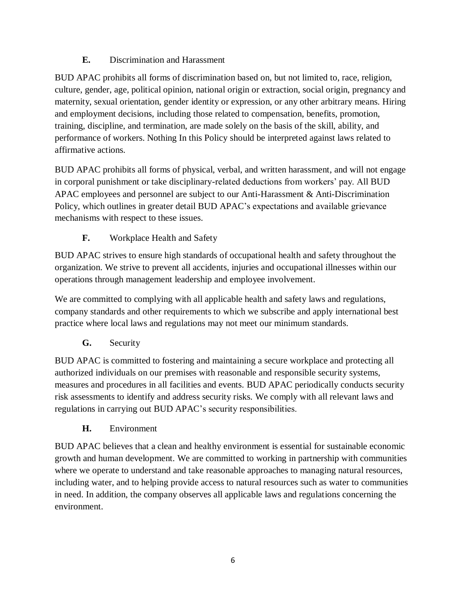## **E.** Discrimination and Harassment

<span id="page-5-0"></span>BUD APAC prohibits all forms of discrimination based on, but not limited to, race, religion, culture, gender, age, political opinion, national origin or extraction, social origin, pregnancy and maternity, sexual orientation, gender identity or expression, or any other arbitrary means. Hiring and employment decisions, including those related to compensation, benefits, promotion, training, discipline, and termination, are made solely on the basis of the skill, ability, and performance of workers. Nothing In this Policy should be interpreted against laws related to affirmative actions.

BUD APAC prohibits all forms of physical, verbal, and written harassment, and will not engage in corporal punishment or take disciplinary-related deductions from workers' pay. All BUD APAC employees and personnel are subject to our Anti-Harassment & Anti-Discrimination Policy, which outlines in greater detail BUD APAC's expectations and available grievance mechanisms with respect to these issues.

# **F.** Workplace Health and Safety

<span id="page-5-1"></span>BUD APAC strives to ensure high standards of occupational health and safety throughout the organization. We strive to prevent all accidents, injuries and occupational illnesses within our operations through management leadership and employee involvement.

We are committed to complying with all applicable health and safety laws and regulations, company standards and other requirements to which we subscribe and apply international best practice where local laws and regulations may not meet our minimum standards.

**G.** Security

<span id="page-5-2"></span>BUD APAC is committed to fostering and maintaining a secure workplace and protecting all authorized individuals on our premises with reasonable and responsible security systems, measures and procedures in all facilities and events. BUD APAC periodically conducts security risk assessments to identify and address security risks. We comply with all relevant laws and regulations in carrying out BUD APAC's security responsibilities.

**H.** Environment

<span id="page-5-3"></span>BUD APAC believes that a clean and healthy environment is essential for sustainable economic growth and human development. We are committed to working in partnership with communities where we operate to understand and take reasonable approaches to managing natural resources, including water, and to helping provide access to natural resources such as water to communities in need. In addition, the company observes all applicable laws and regulations concerning the environment.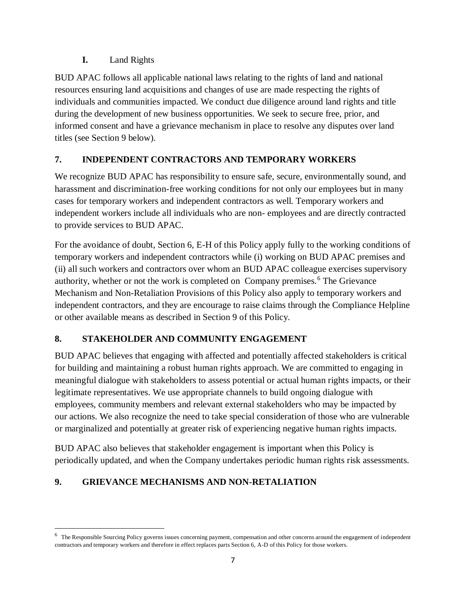#### **I.** Land Rights

<span id="page-6-0"></span>BUD APAC follows all applicable national laws relating to the rights of land and national resources ensuring land acquisitions and changes of use are made respecting the rights of individuals and communities impacted. We conduct due diligence around land rights and title during the development of new business opportunities. We seek to secure free, prior, and informed consent and have a grievance mechanism in place to resolve any disputes over land titles (see Section 9 below).

#### <span id="page-6-1"></span>**7. INDEPENDENT CONTRACTORS AND TEMPORARY WORKERS**

We recognize BUD APAC has responsibility to ensure safe, secure, environmentally sound, and harassment and discrimination-free working conditions for not only our employees but in many cases for temporary workers and independent contractors as well. Temporary workers and independent workers include all individuals who are non- employees and are directly contracted to provide services to BUD APAC.

For the avoidance of doubt, Section 6, E-H of this Policy apply fully to the working conditions of temporary workers and independent contractors while (i) working on BUD APAC premises and (ii) all such workers and contractors over whom an BUD APAC colleague exercises supervisory authority, whether or not the work is completed on Company premises.<sup>6</sup> The Grievance Mechanism and Non-Retaliation Provisions of this Policy also apply to temporary workers and independent contractors, and they are encourage to raise claims through the Compliance Helpline or other available means as described in Section 9 of this Policy.

# <span id="page-6-2"></span>**8. STAKEHOLDER AND COMMUNITY ENGAGEMENT**

BUD APAC believes that engaging with affected and potentially affected stakeholders is critical for building and maintaining a robust human rights approach. We are committed to engaging in meaningful dialogue with stakeholders to assess potential or actual human rights impacts, or their legitimate representatives. We use appropriate channels to build ongoing dialogue with employees, community members and relevant external stakeholders who may be impacted by our actions. We also recognize the need to take special consideration of those who are vulnerable or marginalized and potentially at greater risk of experiencing negative human rights impacts.

BUD APAC also believes that stakeholder engagement is important when this Policy is periodically updated, and when the Company undertakes periodic human rights risk assessments.

# <span id="page-6-3"></span>**9. GRIEVANCE MECHANISMS AND NON-RETALIATION**

 $\overline{a}$ 

<sup>6</sup> The Responsible Sourcing Policy governs issues concerning payment, compensation and other concerns around the engagement of independent contractors and temporary workers and therefore in effect replaces parts Section 6, A-D of this Policy for those workers.